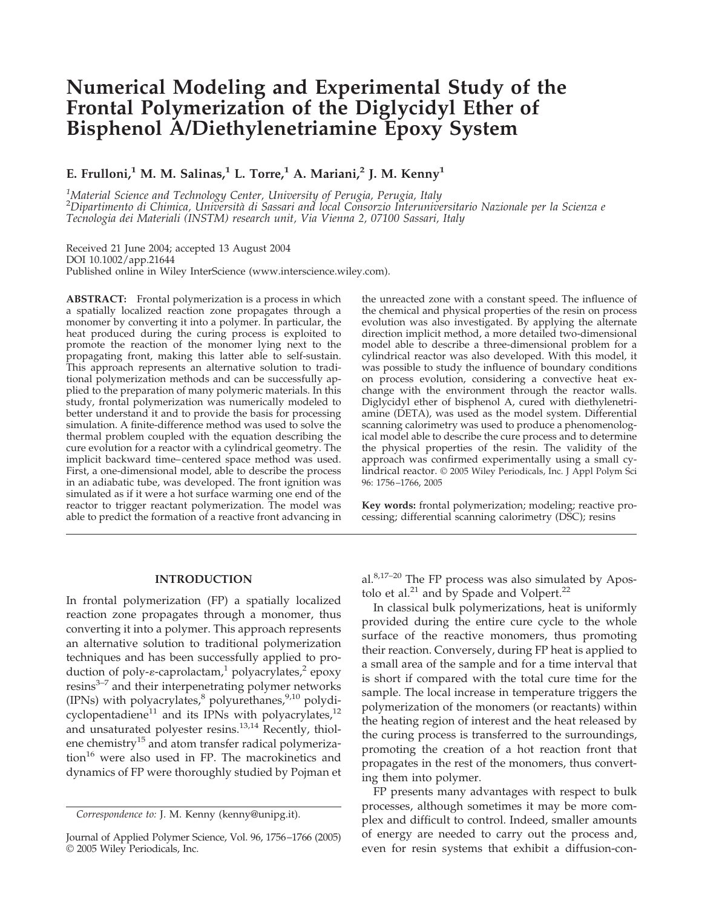# **Numerical Modeling and Experimental Study of the Frontal Polymerization of the Diglycidyl Ether of Bisphenol A/Diethylenetriamine Epoxy System**

# **E. Frulloni**,<sup>1</sup> **M. M. Salinas**,<sup>1</sup> **L. Torre**,<sup>1</sup> **A. Mariani**,<sup>2</sup> **J. M. Kenny**<sup>1</sup>

*1 Material Science and Technology Center, University of Perugia, Perugia, Italy* <sup>2</sup>Dipartimento di Chimica, Università di Sassari and local Consorzio Interuniversitario Nazionale per la Scienza e<br>Tecnologia dei Materiali (INSTM) research unit, Via Vienna 2, 07100 Sassari, Italy

Received 21 June 2004; accepted 13 August 2004 DOI 10.1002/app.21644 Published online in Wiley InterScience (www.interscience.wiley.com).

**ABSTRACT:** Frontal polymerization is a process in which a spatially localized reaction zone propagates through a monomer by converting it into a polymer. In particular, the heat produced during the curing process is exploited to promote the reaction of the monomer lying next to the propagating front, making this latter able to self-sustain. This approach represents an alternative solution to traditional polymerization methods and can be successfully applied to the preparation of many polymeric materials. In this study, frontal polymerization was numerically modeled to better understand it and to provide the basis for processing simulation. A finite-difference method was used to solve the thermal problem coupled with the equation describing the cure evolution for a reactor with a cylindrical geometry. The implicit backward time– centered space method was used. First, a one-dimensional model, able to describe the process in an adiabatic tube, was developed. The front ignition was simulated as if it were a hot surface warming one end of the reactor to trigger reactant polymerization. The model was able to predict the formation of a reactive front advancing in

the unreacted zone with a constant speed. The influence of the chemical and physical properties of the resin on process evolution was also investigated. By applying the alternate direction implicit method, a more detailed two-dimensional model able to describe a three-dimensional problem for a cylindrical reactor was also developed. With this model, it was possible to study the influence of boundary conditions on process evolution, considering a convective heat exchange with the environment through the reactor walls. Diglycidyl ether of bisphenol A, cured with diethylenetriamine (DETA), was used as the model system. Differential scanning calorimetry was used to produce a phenomenological model able to describe the cure process and to determine the physical properties of the resin. The validity of the approach was confirmed experimentally using a small cylindrical reactor. © 2005 Wiley Periodicals, Inc. J Appl Polym Sci 96: 1756 –1766, 2005

**Key words:** frontal polymerization; modeling; reactive processing; differential scanning calorimetry (DSC); resins

## **INTRODUCTION**

In frontal polymerization (FP) a spatially localized reaction zone propagates through a monomer, thus converting it into a polymer. This approach represents an alternative solution to traditional polymerization techniques and has been successfully applied to production of poly- $\varepsilon$ -caprolactam,<sup>1</sup> polyacrylates,<sup>2</sup> epoxy resins<sup>3-7</sup> and their interpenetrating polymer networks (IPNs) with polyacrylates,<sup>8</sup> polyurethanes,<sup>9,10</sup> polydicyclopentadiene $^{11}$  and its IPNs with polyacrylates, $^{12}$ and unsaturated polyester resins.<sup>13,14</sup> Recently, thiolene chemistry15 and atom transfer radical polymerization<sup>16</sup> were also used in FP. The macrokinetics and dynamics of FP were thoroughly studied by Pojman et al. $8,17-20$  The FP process was also simulated by Apostolo et al.<sup>21</sup> and by Spade and Volpert.<sup>22</sup>

In classical bulk polymerizations, heat is uniformly provided during the entire cure cycle to the whole surface of the reactive monomers, thus promoting their reaction. Conversely, during FP heat is applied to a small area of the sample and for a time interval that is short if compared with the total cure time for the sample. The local increase in temperature triggers the polymerization of the monomers (or reactants) within the heating region of interest and the heat released by the curing process is transferred to the surroundings, promoting the creation of a hot reaction front that propagates in the rest of the monomers, thus converting them into polymer.

FP presents many advantages with respect to bulk processes, although sometimes it may be more complex and difficult to control. Indeed, smaller amounts of energy are needed to carry out the process and, even for resin systems that exhibit a diffusion-con-

*Correspondence to:* J. M. Kenny (kenny@unipg.it).

Journal of Applied Polymer Science, Vol. 96, 1756 –1766 (2005) © 2005 Wiley Periodicals, Inc.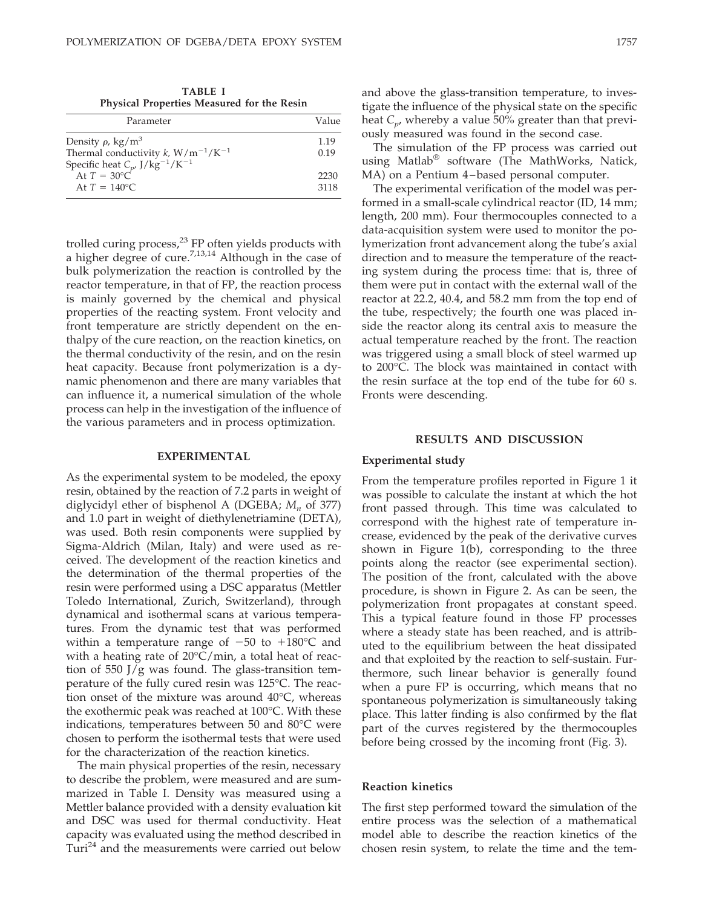**TABLE I Physical Properties Measured for the Resin**

| Parameter                                                     | Value |
|---------------------------------------------------------------|-------|
| Density $\rho$ , kg/m <sup>3</sup>                            | 1.19  |
| Thermal conductivity $k$ , W/m <sup>-1</sup> /K <sup>-1</sup> | 0.19  |
| Specific heat $C_{p}$ , J/kg <sup>-1</sup> /K <sup>-1</sup>   |       |
| At $T = 30^{\circ}$ C                                         | 2230  |
| At $T = 140^{\circ}$ C                                        | 3118  |
|                                                               |       |

trolled curing process,<sup>23</sup> FP often yields products with a higher degree of cure.<sup>7,13,14</sup> Although in the case of bulk polymerization the reaction is controlled by the reactor temperature, in that of FP, the reaction process is mainly governed by the chemical and physical properties of the reacting system. Front velocity and front temperature are strictly dependent on the enthalpy of the cure reaction, on the reaction kinetics, on the thermal conductivity of the resin, and on the resin heat capacity. Because front polymerization is a dynamic phenomenon and there are many variables that can influence it, a numerical simulation of the whole process can help in the investigation of the influence of the various parameters and in process optimization.

#### **EXPERIMENTAL**

As the experimental system to be modeled, the epoxy resin, obtained by the reaction of 7.2 parts in weight of diglycidyl ether of bisphenol A (DGEBA;  $M_n$  of 377) and 1.0 part in weight of diethylenetriamine (DETA), was used. Both resin components were supplied by Sigma-Aldrich (Milan, Italy) and were used as received. The development of the reaction kinetics and the determination of the thermal properties of the resin were performed using a DSC apparatus (Mettler Toledo International, Zurich, Switzerland), through dynamical and isothermal scans at various temperatures. From the dynamic test that was performed within a temperature range of  $-50$  to  $+180^{\circ}$ C and with a heating rate of  $20^{\circ}$ C/min, a total heat of reaction of 550 J/g was found. The glass-transition temperature of the fully cured resin was 125°C. The reaction onset of the mixture was around 40°C, whereas the exothermic peak was reached at 100°C. With these indications, temperatures between 50 and 80°C were chosen to perform the isothermal tests that were used for the characterization of the reaction kinetics.

The main physical properties of the resin, necessary to describe the problem, were measured and are summarized in Table I. Density was measured using a Mettler balance provided with a density evaluation kit and DSC was used for thermal conductivity. Heat capacity was evaluated using the method described in Turi<sup>24</sup> and the measurements were carried out below

and above the glass-transition temperature, to investigate the influence of the physical state on the specific heat *C<sub>n</sub>*, whereby a value 50% greater than that previously measured was found in the second case.

The simulation of the FP process was carried out using Matlab<sup>®</sup> software (The MathWorks, Natick, MA) on a Pentium 4-based personal computer.

The experimental verification of the model was performed in a small-scale cylindrical reactor (ID, 14 mm; length, 200 mm). Four thermocouples connected to a data-acquisition system were used to monitor the polymerization front advancement along the tube's axial direction and to measure the temperature of the reacting system during the process time: that is, three of them were put in contact with the external wall of the reactor at 22.2, 40.4, and 58.2 mm from the top end of the tube, respectively; the fourth one was placed inside the reactor along its central axis to measure the actual temperature reached by the front. The reaction was triggered using a small block of steel warmed up to 200°C. The block was maintained in contact with the resin surface at the top end of the tube for 60 s. Fronts were descending.

# **RESULTS AND DISCUSSION**

#### **Experimental study**

From the temperature profiles reported in Figure 1 it was possible to calculate the instant at which the hot front passed through. This time was calculated to correspond with the highest rate of temperature increase, evidenced by the peak of the derivative curves shown in Figure 1(b), corresponding to the three points along the reactor (see experimental section). The position of the front, calculated with the above procedure, is shown in Figure 2. As can be seen, the polymerization front propagates at constant speed. This a typical feature found in those FP processes where a steady state has been reached, and is attributed to the equilibrium between the heat dissipated and that exploited by the reaction to self-sustain. Furthermore, such linear behavior is generally found when a pure FP is occurring, which means that no spontaneous polymerization is simultaneously taking place. This latter finding is also confirmed by the flat part of the curves registered by the thermocouples before being crossed by the incoming front (Fig. 3).

#### **Reaction kinetics**

The first step performed toward the simulation of the entire process was the selection of a mathematical model able to describe the reaction kinetics of the chosen resin system, to relate the time and the tem-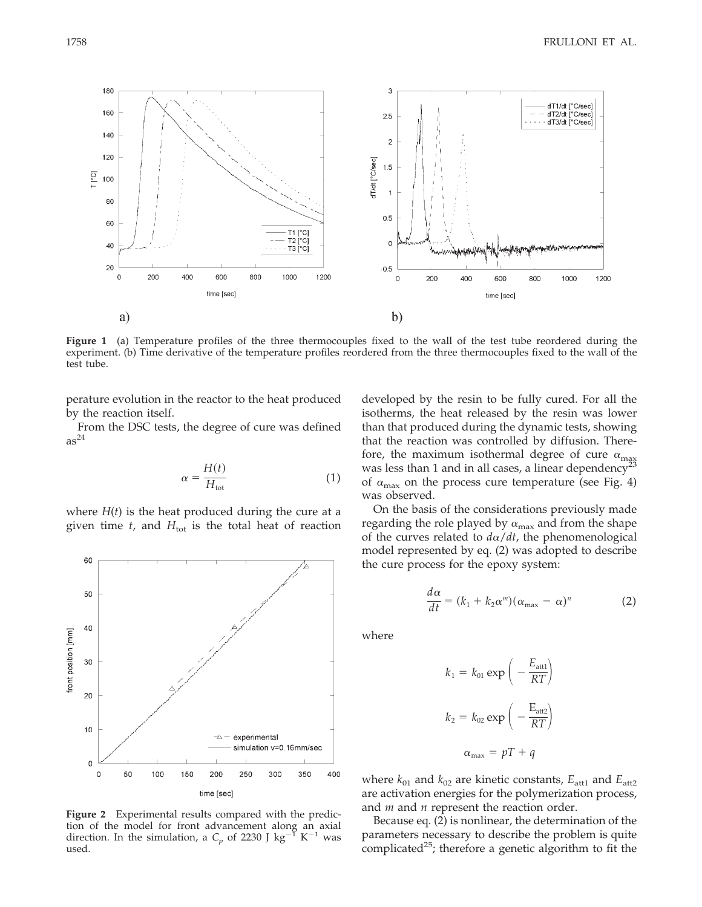

**Figure 1** (a) Temperature profiles of the three thermocouples fixed to the wall of the test tube reordered during the experiment. (b) Time derivative of the temperature profiles reordered from the three thermocouples fixed to the wall of the test tube.

perature evolution in the reactor to the heat produced by the reaction itself.

From the DSC tests, the degree of cure was defined  $as^{24}$ 

$$
\alpha = \frac{H(t)}{H_{\text{tot}}} \tag{1}
$$

where  $H(t)$  is the heat produced during the cure at a given time  $t$ , and  $H_{\text{tot}}$  is the total heat of reaction



**Figure 2** Experimental results compared with the prediction of the model for front advancement along an axial direction. In the simulation, a  $C_p$  of 2230 J kg<sup>-1</sup> K<sup>-1</sup> was used.

developed by the resin to be fully cured. For all the isotherms, the heat released by the resin was lower than that produced during the dynamic tests, showing that the reaction was controlled by diffusion. Therefore, the maximum isothermal degree of cure  $\alpha_{\text{max}}$ was less than 1 and in all cases, a linear dependency<sup>23</sup> of  $\alpha_{\text{max}}$  on the process cure temperature (see Fig. 4) was observed.

On the basis of the considerations previously made regarding the role played by  $\alpha_{\text{max}}$  and from the shape of the curves related to  $d\alpha/dt$ , the phenomenological model represented by eq. (2) was adopted to describe the cure process for the epoxy system:

$$
\frac{d\alpha}{dt} = (k_1 + k_2 \alpha^m)(\alpha_{\text{max}} - \alpha)^n \tag{2}
$$

where

$$
k_1 = k_{01} \exp\left(-\frac{E_{\text{att1}}}{RT}\right)
$$

$$
k_2 = k_{02} \exp\left(-\frac{E_{\text{att2}}}{RT}\right)
$$

$$
\alpha_{\text{max}} = pT + q
$$

where  $k_{01}$  and  $k_{02}$  are kinetic constants,  $E_{\text{att1}}$  and  $E_{\text{att2}}$ are activation energies for the polymerization process, and *m* and *n* represent the reaction order.

Because eq. (2) is nonlinear, the determination of the parameters necessary to describe the problem is quite complicated<sup>25</sup>; therefore a genetic algorithm to fit the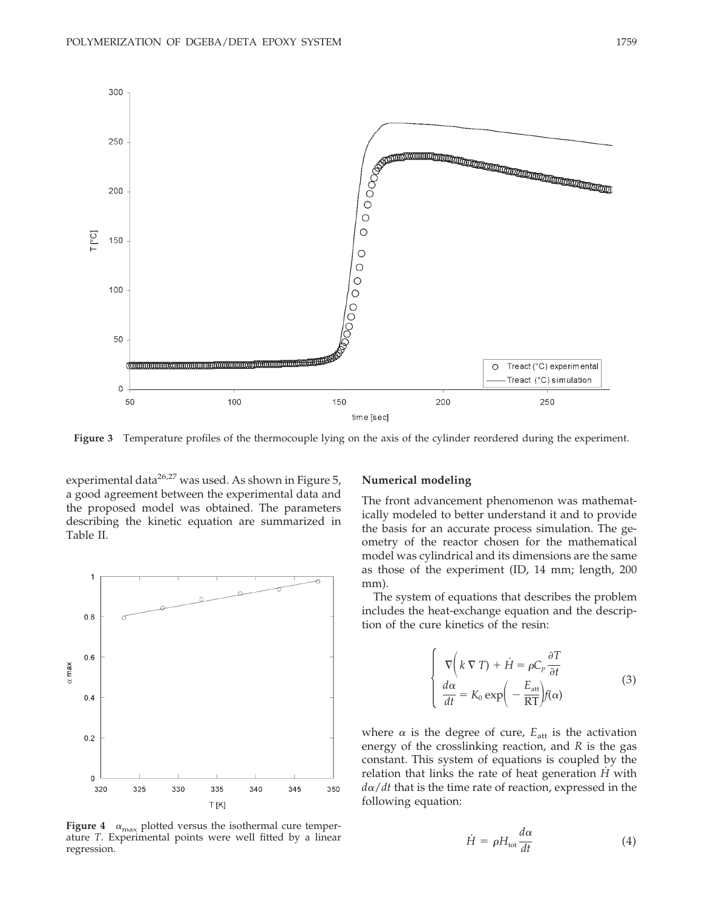

**Figure 3** Temperature profiles of the thermocouple lying on the axis of the cylinder reordered during the experiment.

experimental data<sup>26,27</sup> was used. As shown in Figure 5, a good agreement between the experimental data and the proposed model was obtained. The parameters describing the kinetic equation are summarized in Table II.



**Figure 4**  $\alpha_{\text{max}}$  plotted versus the isothermal cure temperature *T*. Experimental points were well fitted by a linear regression.

### **Numerical modeling**

The front advancement phenomenon was mathematically modeled to better understand it and to provide the basis for an accurate process simulation. The geometry of the reactor chosen for the mathematical model was cylindrical and its dimensions are the same as those of the experiment (ID, 14 mm; length, 200 mm).

The system of equations that describes the problem includes the heat-exchange equation and the description of the cure kinetics of the resin:

$$
\begin{cases}\n\nabla \left( k \nabla T \right) + \dot{H} = \rho C_p \frac{\partial T}{\partial t} \\
\frac{d\alpha}{dt} = K_0 \exp \left( -\frac{E_{\text{att}}}{RT} \right) f(\alpha)\n\end{cases}
$$
\n(3)

where  $\alpha$  is the degree of cure,  $E_{\text{att}}$  is the activation energy of the crosslinking reaction, and *R* is the gas constant. This system of equations is coupled by the relation that links the rate of heat generation *H˙* with  $d\alpha/dt$  that is the time rate of reaction, expressed in the following equation:

$$
\dot{H} = \rho H_{\text{tot}} \frac{d\alpha}{dt} \tag{4}
$$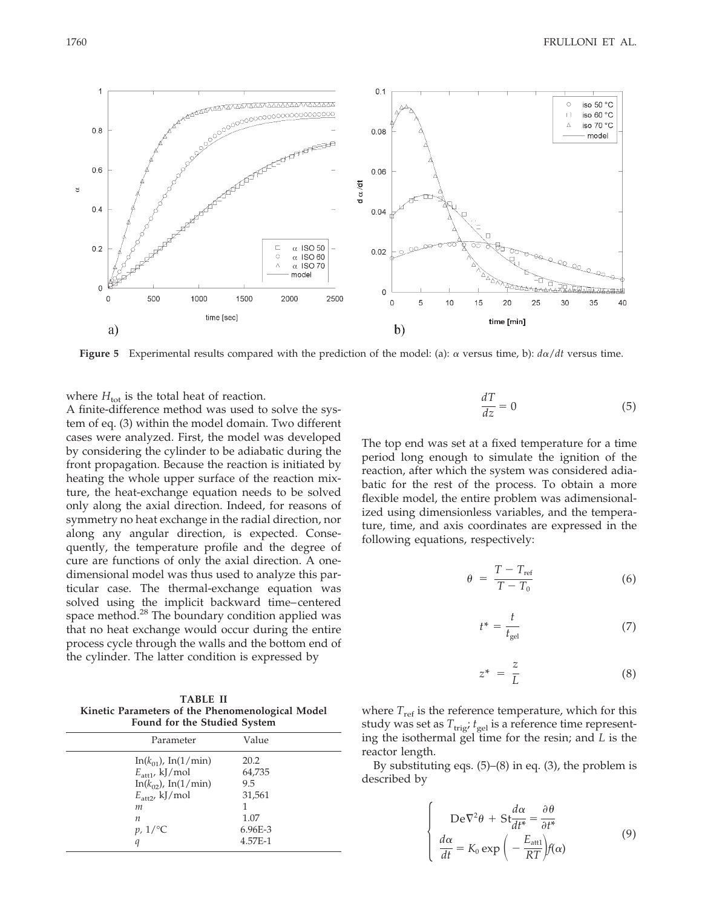

**Figure 5** Experimental results compared with the prediction of the model: (a):  $\alpha$  versus time, b):  $d\alpha/dt$  versus time.

where  $H_{\text{tot}}$  is the total heat of reaction.

A finite-difference method was used to solve the system of eq. (3) within the model domain. Two different cases were analyzed. First, the model was developed by considering the cylinder to be adiabatic during the front propagation. Because the reaction is initiated by heating the whole upper surface of the reaction mixture, the heat-exchange equation needs to be solved only along the axial direction. Indeed, for reasons of symmetry no heat exchange in the radial direction, nor along any angular direction, is expected. Consequently, the temperature profile and the degree of cure are functions of only the axial direction. A onedimensional model was thus used to analyze this particular case. The thermal-exchange equation was solved using the implicit backward time– centered space method.<sup>28</sup> The boundary condition applied was that no heat exchange would occur during the entire process cycle through the walls and the bottom end of the cylinder. The latter condition is expressed by

**TABLE II Kinetic Parameters of the Phenomenological Model Found for the Studied System**

| Parameter                  | Value   |
|----------------------------|---------|
| $In(k_{01})$ , In(1/min)   | 20.2    |
| $E_{\text{att1}}$ , kJ/mol | 64,735  |
| $In(k_{02})$ , In(1/min)   | 9.5     |
| $E_{\text{at}},$ kJ/mol    | 31,561  |
| m                          |         |
| $\boldsymbol{n}$           | 1.07    |
| $p, 1$ /°C                 | 6.96E-3 |
| a                          | 4.57E-1 |

$$
\frac{dT}{dz} = 0\tag{5}
$$

The top end was set at a fixed temperature for a time period long enough to simulate the ignition of the reaction, after which the system was considered adiabatic for the rest of the process. To obtain a more flexible model, the entire problem was adimensionalized using dimensionless variables, and the temperature, time, and axis coordinates are expressed in the following equations, respectively:

$$
\theta = \frac{T - T_{\text{ref}}}{T - T_0} \tag{6}
$$

$$
t^* = \frac{t}{t_{\text{gel}}}
$$
 (7)

$$
z^* = \frac{z}{L} \tag{8}
$$

where  $T_{ref}$  is the reference temperature, which for this study was set as  $T_{\text{trig}}$ ;  $t_{\text{gel}}$  is a reference time representing the isothermal gel time for the resin; and *L* is the reactor length.

By substituting eqs. (5)–(8) in eq. (3), the problem is described by

$$
\begin{cases}\n\text{De } \nabla^2 \theta + \text{St} \frac{d\alpha}{dt^*} = \frac{\partial \theta}{\partial t^*} \\
\frac{d\alpha}{dt} = K_0 \exp\left(-\frac{E_{\text{att1}}}{RT}\right) f(\alpha)\n\end{cases} \tag{9}
$$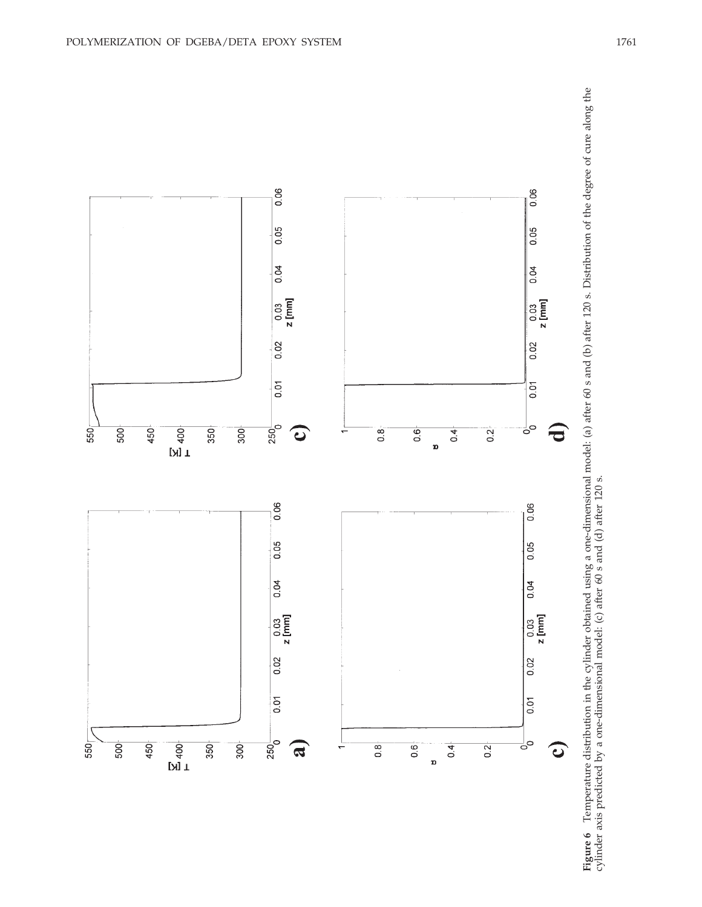

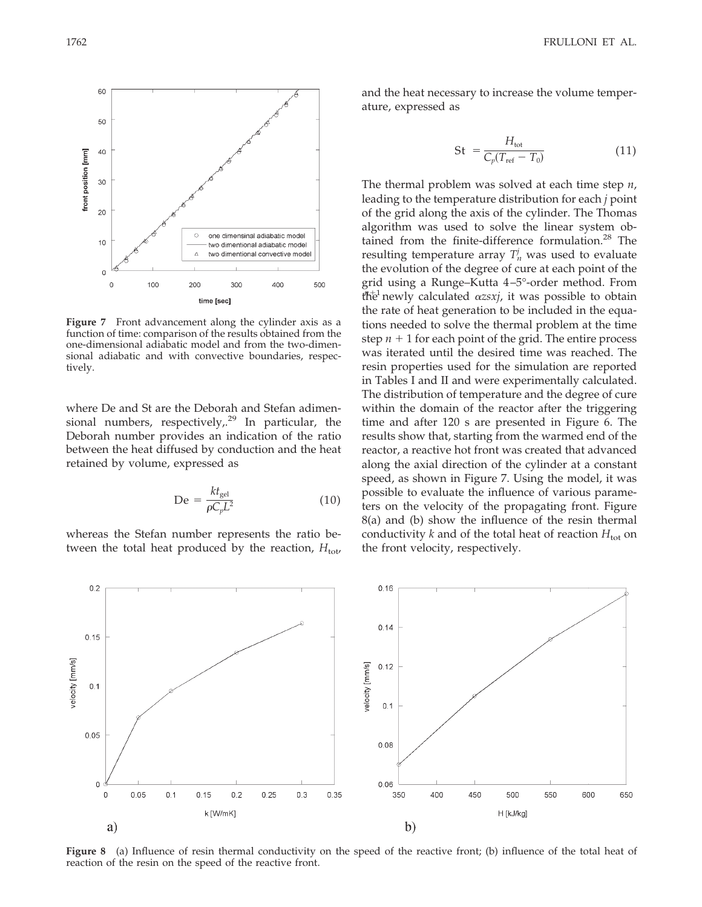

**Figure 7** Front advancement along the cylinder axis as a function of time: comparison of the results obtained from the one-dimensional adiabatic model and from the two-dimensional adiabatic and with convective boundaries, respectively.

where De and St are the Deborah and Stefan adimensional numbers, respectively,  $2^9$  In particular, the Deborah number provides an indication of the ratio between the heat diffused by conduction and the heat retained by volume, expressed as

$$
De = \frac{kt_{gel}}{\rho C_p L^2}
$$
 (10)

whereas the Stefan number represents the ratio between the total heat produced by the reaction,  $H_{tot}$ ,

and the heat necessary to increase the volume temperature, expressed as

$$
St = \frac{H_{\text{tot}}}{C_p(T_{\text{ref}} - T_0)}
$$
(11)

The thermal problem was solved at each time step *n*, leading to the temperature distribution for each *j* point of the grid along the axis of the cylinder. The Thomas algorithm was used to solve the linear system obtained from the finite-difference formulation.<sup>28</sup> The resulting temperature array  $T_n^j$  was used to evaluate the evolution of the degree of cure at each point of the grid using a Runge–Kutta 4 –5°-order method. From  $\ddot{\mathbf{f}}$  the<sup>1</sup> newly calculated  $\alpha$ zsxj, it was possible to obtain the rate of heat generation to be included in the equations needed to solve the thermal problem at the time step  $n + 1$  for each point of the grid. The entire process was iterated until the desired time was reached. The resin properties used for the simulation are reported in Tables I and II and were experimentally calculated. The distribution of temperature and the degree of cure within the domain of the reactor after the triggering time and after 120 s are presented in Figure 6. The results show that, starting from the warmed end of the reactor, a reactive hot front was created that advanced along the axial direction of the cylinder at a constant speed, as shown in Figure 7. Using the model, it was possible to evaluate the influence of various parameters on the velocity of the propagating front. Figure 8(a) and (b) show the influence of the resin thermal conductivity  $k$  and of the total heat of reaction  $H_{\text{tot}}$  on the front velocity, respectively.



**Figure 8** (a) Influence of resin thermal conductivity on the speed of the reactive front; (b) influence of the total heat of reaction of the resin on the speed of the reactive front.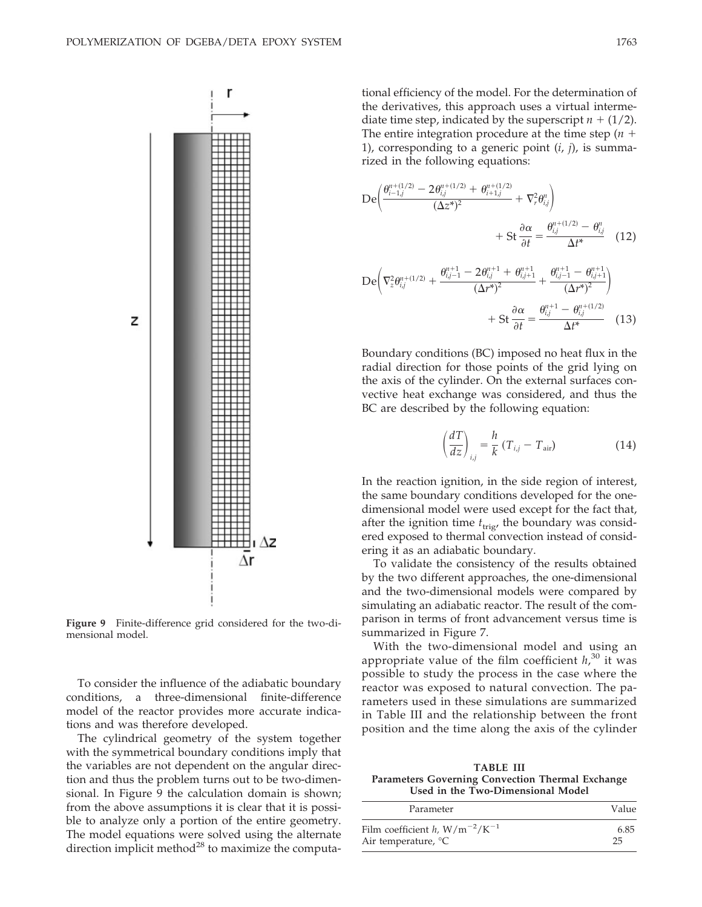



**Figure 9** Finite-difference grid considered for the two-dimensional model.

To consider the influence of the adiabatic boundary conditions, a three-dimensional finite-difference model of the reactor provides more accurate indications and was therefore developed.

The cylindrical geometry of the system together with the symmetrical boundary conditions imply that the variables are not dependent on the angular direction and thus the problem turns out to be two-dimensional. In Figure 9 the calculation domain is shown; from the above assumptions it is clear that it is possible to analyze only a portion of the entire geometry. The model equations were solved using the alternate direction implicit method $^{28}$  to maximize the computa-

tional efficiency of the model. For the determination of the derivatives, this approach uses a virtual intermediate time step, indicated by the superscript  $n + (1/2)$ . The entire integration procedure at the time step  $(n +$ 1), corresponding to a generic point (*i*, *j*), is summarized in the following equations:

$$
De\left(\frac{\theta_{i-1,j}^{n+ (1/2)} - 2\theta_{i,j}^{n+ (1/2)} + \theta_{i+1,j}^{n+ (1/2)}}{(\Delta z^*)^2} + \nabla_r^2 \theta_{i,j}^n\right) + St\frac{\partial \alpha}{\partial t} = \frac{\theta_{i,j}^{n+ (1/2)} - \theta_{i,j}^n}{\Delta t^*} \quad (12)
$$

$$
De\left(\nabla_z^2 \theta_{i,j}^{n+ (1/2)} + \frac{\theta_{i,j-1}^{n+1} - 2\theta_{i,j}^{n+1} + \theta_{i,j+1}^{n+1}}{(\Delta r^*)^2} + \frac{\theta_{i,j-1}^{n+1} - \theta_{i,j+1}^{n+1}}{(\Delta r^*)^2}\right) + St\frac{\partial \alpha}{\partial t} = \frac{\theta_{i,j}^{n+1} - \theta_{i,j}^{n+ (1/2)}}{\Delta t^*} \quad (13)
$$

Boundary conditions (BC) imposed no heat flux in the radial direction for those points of the grid lying on the axis of the cylinder. On the external surfaces convective heat exchange was considered, and thus the BC are described by the following equation:

 $\partial t$ 

$$
\left(\frac{dT}{dz}\right)_{i,j} = \frac{h}{k} \left(T_{i,j} - T_{\text{air}}\right) \tag{14}
$$

In the reaction ignition, in the side region of interest, the same boundary conditions developed for the onedimensional model were used except for the fact that, after the ignition time  $t_{\text{trig}}$ , the boundary was considered exposed to thermal convection instead of considering it as an adiabatic boundary.

To validate the consistency of the results obtained by the two different approaches, the one-dimensional and the two-dimensional models were compared by simulating an adiabatic reactor. The result of the comparison in terms of front advancement versus time is summarized in Figure 7.

With the two-dimensional model and using an appropriate value of the film coefficient *h*, <sup>30</sup> it was possible to study the process in the case where the reactor was exposed to natural convection. The parameters used in these simulations are summarized in Table III and the relationship between the front position and the time along the axis of the cylinder

**TABLE III Parameters Governing Convection Thermal Exchange Used in the Two-Dimensional Model**

| Parameter                                                 | Value |
|-----------------------------------------------------------|-------|
| Film coefficient $h$ , W/m <sup>-2</sup> /K <sup>-1</sup> | 6.85  |
| Air temperature, $\degree$ C                              | 25    |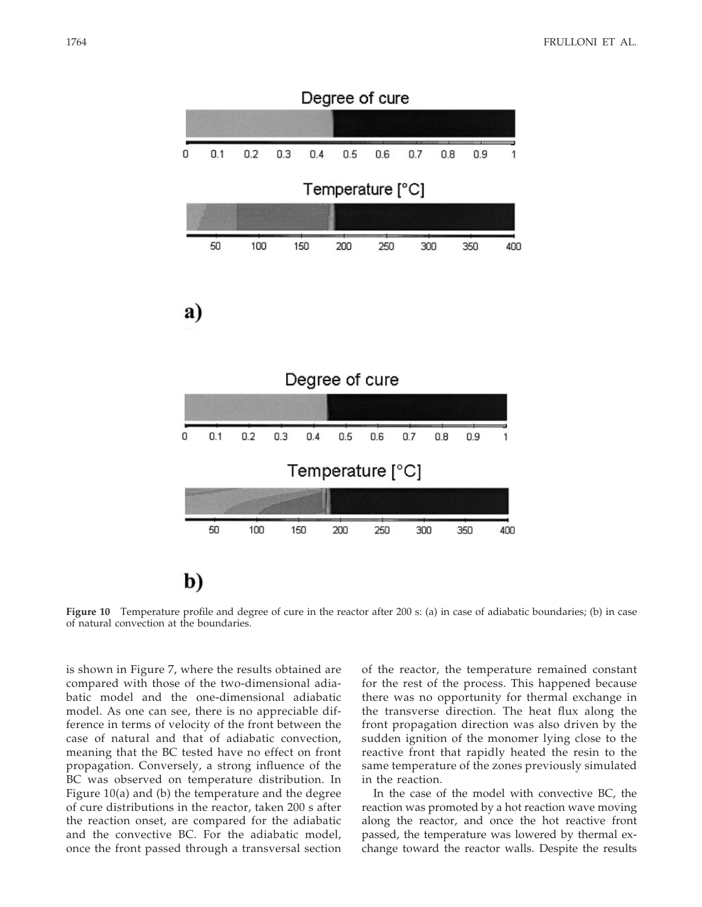

**Figure 10** Temperature profile and degree of cure in the reactor after 200 s: (a) in case of adiabatic boundaries; (b) in case of natural convection at the boundaries.

is shown in Figure 7, where the results obtained are compared with those of the two-dimensional adiabatic model and the one-dimensional adiabatic model. As one can see, there is no appreciable difference in terms of velocity of the front between the case of natural and that of adiabatic convection, meaning that the BC tested have no effect on front propagation. Conversely, a strong influence of the BC was observed on temperature distribution. In Figure 10(a) and (b) the temperature and the degree of cure distributions in the reactor, taken 200 s after the reaction onset, are compared for the adiabatic and the convective BC. For the adiabatic model, once the front passed through a transversal section

of the reactor, the temperature remained constant for the rest of the process. This happened because there was no opportunity for thermal exchange in the transverse direction. The heat flux along the front propagation direction was also driven by the sudden ignition of the monomer lying close to the reactive front that rapidly heated the resin to the same temperature of the zones previously simulated in the reaction.

In the case of the model with convective BC, the reaction was promoted by a hot reaction wave moving along the reactor, and once the hot reactive front passed, the temperature was lowered by thermal exchange toward the reactor walls. Despite the results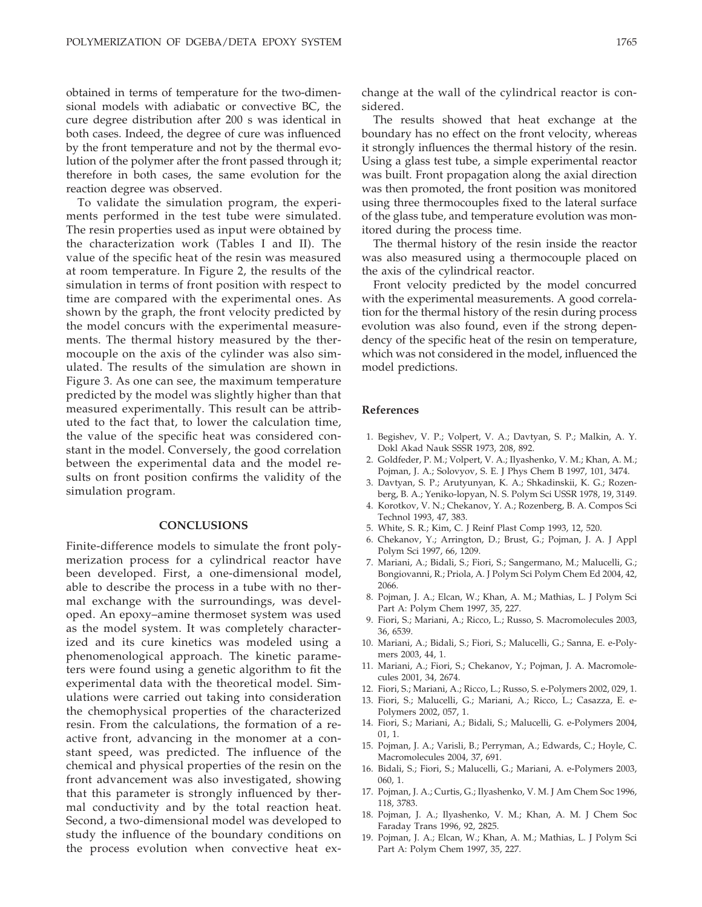obtained in terms of temperature for the two-dimensional models with adiabatic or convective BC, the cure degree distribution after 200 s was identical in both cases. Indeed, the degree of cure was influenced by the front temperature and not by the thermal evolution of the polymer after the front passed through it; therefore in both cases, the same evolution for the reaction degree was observed.

To validate the simulation program, the experiments performed in the test tube were simulated. The resin properties used as input were obtained by the characterization work (Tables I and II). The value of the specific heat of the resin was measured at room temperature. In Figure 2, the results of the simulation in terms of front position with respect to time are compared with the experimental ones. As shown by the graph, the front velocity predicted by the model concurs with the experimental measurements. The thermal history measured by the thermocouple on the axis of the cylinder was also simulated. The results of the simulation are shown in Figure 3. As one can see, the maximum temperature predicted by the model was slightly higher than that measured experimentally. This result can be attributed to the fact that, to lower the calculation time, the value of the specific heat was considered constant in the model. Conversely, the good correlation between the experimental data and the model results on front position confirms the validity of the simulation program.

#### **CONCLUSIONS**

Finite-difference models to simulate the front polymerization process for a cylindrical reactor have been developed. First, a one-dimensional model, able to describe the process in a tube with no thermal exchange with the surroundings, was developed. An epoxy–amine thermoset system was used as the model system. It was completely characterized and its cure kinetics was modeled using a phenomenological approach. The kinetic parameters were found using a genetic algorithm to fit the experimental data with the theoretical model. Simulations were carried out taking into consideration the chemophysical properties of the characterized resin. From the calculations, the formation of a reactive front, advancing in the monomer at a constant speed, was predicted. The influence of the chemical and physical properties of the resin on the front advancement was also investigated, showing that this parameter is strongly influenced by thermal conductivity and by the total reaction heat. Second, a two-dimensional model was developed to study the influence of the boundary conditions on the process evolution when convective heat ex-

The results showed that heat exchange at the boundary has no effect on the front velocity, whereas it strongly influences the thermal history of the resin. Using a glass test tube, a simple experimental reactor was built. Front propagation along the axial direction was then promoted, the front position was monitored using three thermocouples fixed to the lateral surface of the glass tube, and temperature evolution was monitored during the process time.

The thermal history of the resin inside the reactor was also measured using a thermocouple placed on the axis of the cylindrical reactor.

Front velocity predicted by the model concurred with the experimental measurements. A good correlation for the thermal history of the resin during process evolution was also found, even if the strong dependency of the specific heat of the resin on temperature, which was not considered in the model, influenced the model predictions.

#### **References**

- 1. Begishev, V. P.; Volpert, V. A.; Davtyan, S. P.; Malkin, A. Y. Dokl Akad Nauk SSSR 1973, 208, 892.
- 2. Goldfeder, P. M.; Volpert, V. A.; Ilyashenko, V. M.; Khan, A. M.; Pojman, J. A.; Solovyov, S. E. J Phys Chem B 1997, 101, 3474.
- 3. Davtyan, S. P.; Arutyunyan, K. A.; Shkadinskii, K. G.; Rozenberg, B. A.; Yeniko-lopyan, N. S. Polym Sci USSR 1978, 19, 3149.
- 4. Korotkov, V. N.; Chekanov, Y. A.; Rozenberg, B. A. Compos Sci Technol 1993, 47, 383.
- 5. White, S. R.; Kim, C. J Reinf Plast Comp 1993, 12, 520.
- 6. Chekanov, Y.; Arrington, D.; Brust, G.; Pojman, J. A. J Appl Polym Sci 1997, 66, 1209.
- 7. Mariani, A.; Bidali, S.; Fiori, S.; Sangermano, M.; Malucelli, G.; Bongiovanni, R.; Priola, A. J Polym Sci Polym Chem Ed 2004, 42, 2066.
- 8. Pojman, J. A.; Elcan, W.; Khan, A. M.; Mathias, L. J Polym Sci Part A: Polym Chem 1997, 35, 227.
- 9. Fiori, S.; Mariani, A.; Ricco, L.; Russo, S. Macromolecules 2003, 36, 6539.
- 10. Mariani, A.; Bidali, S.; Fiori, S.; Malucelli, G.; Sanna, E. e-Polymers 2003, 44, 1.
- 11. Mariani, A.; Fiori, S.; Chekanov, Y.; Pojman, J. A. Macromolecules 2001, 34, 2674.
- 12. Fiori, S.; Mariani, A.; Ricco, L.; Russo, S. e-Polymers 2002, 029, 1.
- 13. Fiori, S.; Malucelli, G.; Mariani, A.; Ricco, L.; Casazza, E. e-Polymers 2002, 057, 1.
- 14. Fiori, S.; Mariani, A.; Bidali, S.; Malucelli, G. e-Polymers 2004, 01, 1.
- 15. Pojman, J. A.; Varisli, B.; Perryman, A.; Edwards, C.; Hoyle, C. Macromolecules 2004, 37, 691.
- 16. Bidali, S.; Fiori, S.; Malucelli, G.; Mariani, A. e-Polymers 2003, 060, 1.
- 17. Pojman, J. A.; Curtis, G.; Ilyashenko, V. M. J Am Chem Soc 1996, 118, 3783.
- 18. Pojman, J. A.; Ilyashenko, V. M.; Khan, A. M. J Chem Soc Faraday Trans 1996, 92, 2825.
- 19. Pojman, J. A.; Elcan, W.; Khan, A. M.; Mathias, L. J Polym Sci Part A: Polym Chem 1997, 35, 227.